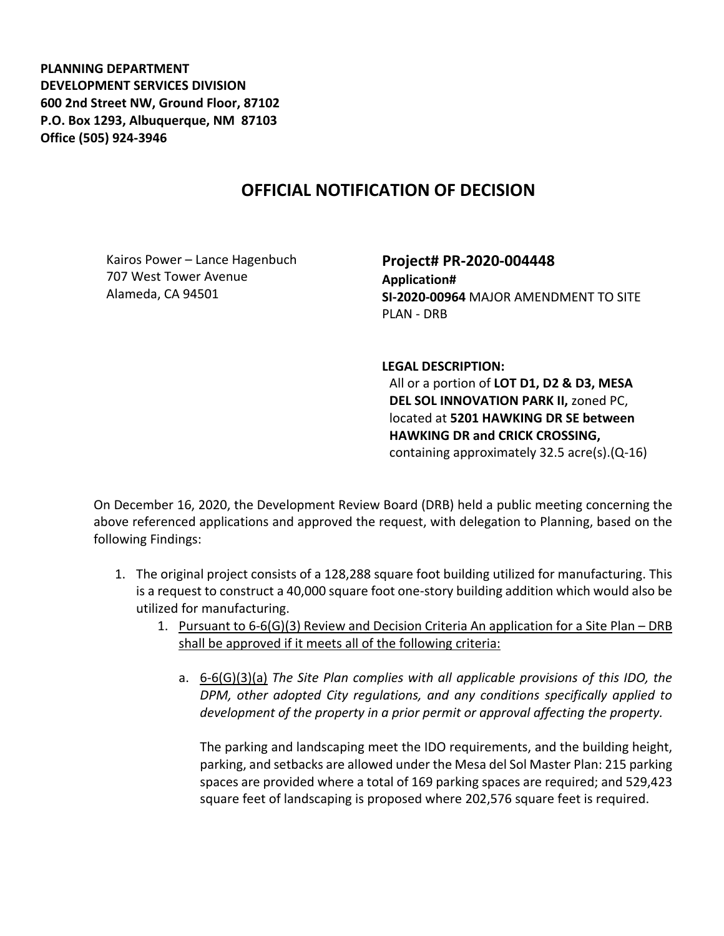**PLANNING DEPARTMENT DEVELOPMENT SERVICES DIVISION 600 2nd Street NW, Ground Floor, 87102 P.O. Box 1293, Albuquerque, NM 87103 Office (505) 924-3946** 

## **OFFICIAL NOTIFICATION OF DECISION**

Kairos Power – Lance Hagenbuch 707 West Tower Avenue Alameda, CA 94501

**Project# PR-2020-004448 Application# SI-2020-00964** MAJOR AMENDMENT TO SITE PLAN - DRB

**LEGAL DESCRIPTION:**

All or a portion of **LOT D1, D2 & D3, MESA DEL SOL INNOVATION PARK II,** zoned PC, located at **5201 HAWKING DR SE between HAWKING DR and CRICK CROSSING,**  containing approximately 32.5 acre(s).(Q-16)

On December 16, 2020, the Development Review Board (DRB) held a public meeting concerning the above referenced applications and approved the request, with delegation to Planning, based on the following Findings:

- 1. The original project consists of a 128,288 square foot building utilized for manufacturing. This is a request to construct a 40,000 square foot one-story building addition which would also be utilized for manufacturing.
	- 1. Pursuant to 6-6(G)(3) Review and Decision Criteria An application for a Site Plan DRB shall be approved if it meets all of the following criteria:
		- a. 6-6(G)(3)(a) *The Site Plan complies with all applicable provisions of this IDO, the DPM, other adopted City regulations, and any conditions specifically applied to development of the property in a prior permit or approval affecting the property.*

The parking and landscaping meet the IDO requirements, and the building height, parking, and setbacks are allowed under the Mesa del Sol Master Plan: 215 parking spaces are provided where a total of 169 parking spaces are required; and 529,423 square feet of landscaping is proposed where 202,576 square feet is required.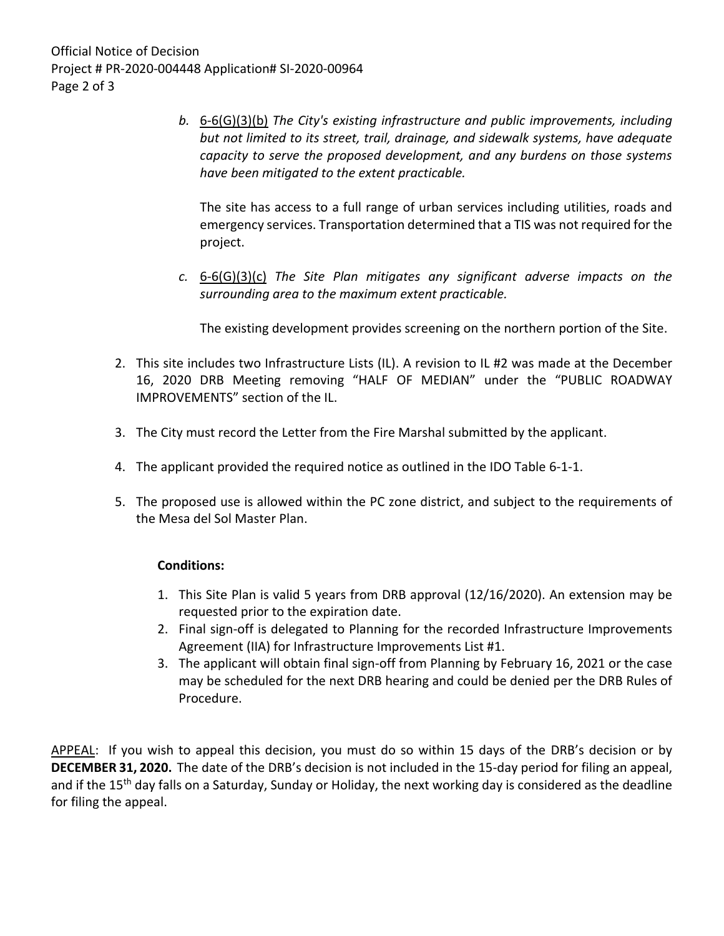*b.* 6-6(G)(3)(b) *The City's existing infrastructure and public improvements, including but not limited to its street, trail, drainage, and sidewalk systems, have adequate capacity to serve the proposed development, and any burdens on those systems have been mitigated to the extent practicable.* 

The site has access to a full range of urban services including utilities, roads and emergency services. Transportation determined that a TIS was not required for the project.

*c.* 6-6(G)(3)(c) *The Site Plan mitigates any significant adverse impacts on the surrounding area to the maximum extent practicable.* 

The existing development provides screening on the northern portion of the Site.

- 2. This site includes two Infrastructure Lists (IL). A revision to IL #2 was made at the December 16, 2020 DRB Meeting removing "HALF OF MEDIAN" under the "PUBLIC ROADWAY IMPROVEMENTS" section of the IL.
- 3. The City must record the Letter from the Fire Marshal submitted by the applicant.
- 4. The applicant provided the required notice as outlined in the IDO Table 6-1-1.
- 5. The proposed use is allowed within the PC zone district, and subject to the requirements of the Mesa del Sol Master Plan.

## **Conditions:**

- 1. This Site Plan is valid 5 years from DRB approval (12/16/2020). An extension may be requested prior to the expiration date.
- 2. Final sign-off is delegated to Planning for the recorded Infrastructure Improvements Agreement (IIA) for Infrastructure Improvements List #1.
- 3. The applicant will obtain final sign-off from Planning by February 16, 2021 or the case may be scheduled for the next DRB hearing and could be denied per the DRB Rules of Procedure.

APPEAL: If you wish to appeal this decision, you must do so within 15 days of the DRB's decision or by **DECEMBER 31, 2020.** The date of the DRB's decision is not included in the 15-day period for filing an appeal, and if the 15<sup>th</sup> day falls on a Saturday, Sunday or Holiday, the next working day is considered as the deadline for filing the appeal.